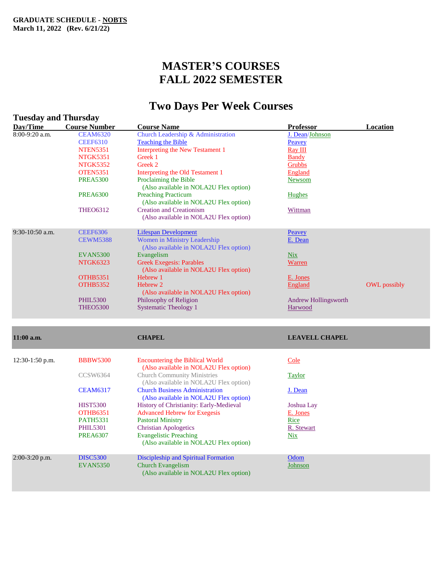# **MASTER'S COURSES FALL 2022 SEMESTER**

# **Two Days Per Week Courses**

| <b>Tuesday and Thursday</b> |                                    |                                                                                                                        |                                 |                     |
|-----------------------------|------------------------------------|------------------------------------------------------------------------------------------------------------------------|---------------------------------|---------------------|
| Day/Time                    | <b>Course Number</b>               | <b>Course Name</b>                                                                                                     | Professor                       | Location            |
| 8:00-9:20 a.m.              | <b>CEAM6320</b>                    | Church Leadership & Administration                                                                                     | J. Dean/Johnson                 |                     |
|                             | <b>CEEF6310</b>                    | <b>Teaching the Bible</b>                                                                                              | Peavey                          |                     |
|                             | <b>NTEN5351</b>                    | <b>Interpreting the New Testament 1</b>                                                                                | <b>Ray III</b>                  |                     |
|                             | <b>NTGK5351</b>                    | Greek 1                                                                                                                | <b>Bandy</b>                    |                     |
|                             | <b>NTGK5352</b>                    | Greek 2                                                                                                                | Grubbs                          |                     |
|                             | <b>OTEN5351</b>                    | Interpreting the Old Testament 1                                                                                       | England                         |                     |
|                             | <b>PREA5300</b>                    | Proclaiming the Bible                                                                                                  | <b>Newsom</b>                   |                     |
|                             | <b>PREA6300</b>                    | (Also available in NOLA2U Flex option)<br><b>Preaching Practicum</b><br>(Also available in NOLA2U Flex option)         | <b>Hughes</b>                   |                     |
|                             | <b>THEO6312</b>                    | <b>Creation and Creationism</b><br>(Also available in NOLA2U Flex option)                                              | Wittman                         |                     |
| $9:30-10:50$ a.m.           | <b>CEEF6306</b>                    | <b>Lifespan Development</b>                                                                                            | Peavey                          |                     |
|                             | <b>CEWM5388</b>                    | Women in Ministry Leadership<br>(Also available in NOLA2U Flex option)                                                 | E. Dean                         |                     |
|                             | <b>EVAN5300</b>                    | Evangelism                                                                                                             | <b>Nix</b>                      |                     |
|                             | <b>NTGK6323</b>                    | <b>Greek Exegesis: Parables</b><br>(Also available in NOLA2U Flex option)                                              | Warren                          |                     |
|                             | <b>OTHB5351</b>                    | Hebrew 1                                                                                                               | E. Jones                        |                     |
|                             | <b>OTHB5352</b>                    | Hebrew 2<br>(Also available in NOLA2U Flex option)                                                                     | England                         | <b>OWL</b> possibly |
|                             | <b>PHIL5300</b><br><b>THEO5300</b> | Philosophy of Religion<br><b>Systematic Theology 1</b>                                                                 | Andrew Hollingsworth<br>Harwood |                     |
| $11:00$ a.m.                |                                    | <b>CHAPEL</b>                                                                                                          | <b>LEAVELL CHAPEL</b>           |                     |
| $12:30-1:50$ p.m.           | <b>BBBW5300</b>                    | <b>Encountering the Biblical World</b>                                                                                 | Cole                            |                     |
|                             | CCSW6364                           | (Also available in NOLA2U Flex option)<br><b>Church Community Ministries</b><br>(Also available in NOLA2U Flex option) | <b>Taylor</b>                   |                     |
|                             | <b>CEAM6317</b>                    | <b>Church Business Administration</b><br>(Also available in NOLA2U Flex option)                                        | J. Dean                         |                     |
|                             | <b>HIST5300</b>                    | History of Christianity: Early-Medieval                                                                                | Joshua Lay                      |                     |
|                             | <b>OTHB6351</b>                    | <b>Advanced Hebrew for Exegesis</b>                                                                                    | E. Jones                        |                     |
|                             | <b>PATH5331</b>                    | <b>Pastoral Ministry</b>                                                                                               | Rice                            |                     |
|                             | <b>PHIL5301</b>                    | <b>Christian Apologetics</b>                                                                                           | R. Stewart                      |                     |
|                             | <b>PREA6307</b>                    | <b>Evangelistic Preaching</b><br>(Also available in NOLA2U Flex option)                                                | <b>Nix</b>                      |                     |
| $2:00-3:20$ p.m.            | <b>DISC5300</b><br><b>EVAN5350</b> | <b>Discipleship and Spiritual Formation</b><br><b>Church Evangelism</b><br>(Also available in NOLA2U Flex option)      | Odom<br>Johnson                 |                     |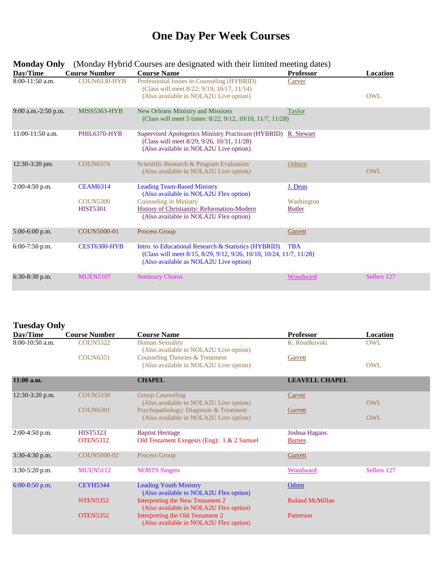# **One Day Per Week Courses**

| Day/Time            | <b>Course Number</b>                                  | <b>Course Name</b>                                                                                                                                                                                     | <b>Professor</b>                       | Location    |
|---------------------|-------------------------------------------------------|--------------------------------------------------------------------------------------------------------------------------------------------------------------------------------------------------------|----------------------------------------|-------------|
| $8:00-11:50$ a.m.   | COUN6330-HYB                                          | Professional Issues in Counseling (HYBRID)<br>(Class will meet 8/22; 9/19; 10/17, 11/14)<br>(Also available in NOLA2U Live option)                                                                     | Carver                                 | OWL         |
| 9:00 a.m.-2:50 p.m. | MISS5363-HYB                                          | New Orleans Ministry and Missions<br>(Class will meet 5 times: 8/22, 9/12, 10/10, 11/7, 11/28)                                                                                                         | Taylor                                 |             |
| 11:00-11:50 a.m.    | PHIL6370-HYB                                          | Supervised Apologetics Ministry Practicum (HYBRID) R. Stewart<br>(Class will meet 8/29, 9/26, 10/31, 11/28)<br>(Also available in NOLA2U Live option)                                                  |                                        |             |
| 12:30-3:20 pm.      | <b>COUN6374</b>                                       | Scientific Research & Program Evaluation<br>(Also available in NOLA2U Live option)                                                                                                                     | Osborn                                 | <b>OWL</b>  |
| $2:00-4:50$ p.m.    | <b>CEAM6314</b><br><b>COUN5300</b><br><b>HIST5301</b> | <b>Leading Team-Based Ministry</b><br>(Also available in NOLA2U Flex option)<br><b>Counseling in Ministry</b><br>History of Christianity: Reformation-Modern<br>(Also available in NOLA2U Flex option) | J. Dean<br>Washington<br><b>Butler</b> |             |
| $5:00-6:00$ p.m.    | <b>COUN5000-01</b>                                    | Process Group                                                                                                                                                                                          | Garrett                                |             |
| $6:00-7:50$ p.m.    | CEST6300-HYB                                          | Intro. to Educational Research & Statistics (HYBRID)<br>(Class will meet 8/15, 8/29, 9/12, 9/26, 10/10, 10/24, 11/7, 11/28)<br>(Also available as NOLA2U Live option)                                  | TBA                                    |             |
| $6:30-8:30$ p.m.    | <b>MUEN5107</b>                                       | <b>Seminary Chorus</b>                                                                                                                                                                                 | Woodward                               | Sellers 127 |

#### **Monday Only** (Monday Hybrid Courses are designated with their limited meeting dates)

#### **Tuesday Only**

| Day/Time          | <b>Course Number</b>               | <b>Course Name</b>                                                               | <b>Professor</b>               | <b>Location</b> |
|-------------------|------------------------------------|----------------------------------------------------------------------------------|--------------------------------|-----------------|
| $8:00-10:50$ a.m. | <b>COUN5322</b>                    | <b>Human Sexuality</b><br>(Also available in NOLA2U Live option)                 | K. Roudkovski                  | OWL             |
|                   | <b>COUN6351</b>                    | Counseling Theories & Treatment<br>(Also available in NOLA2U Live option)        | Garrett                        | <b>OWL</b>      |
| 11:00 a.m.        |                                    | <b>CHAPEL</b>                                                                    | <b>LEAVELL CHAPEL</b>          |                 |
| $12:30-3:20$ p.m. | <b>COUN5330</b>                    | <b>Group Counseling</b><br>(Also available in NOLA2U Live option)                | Carver                         | <b>OWL</b>      |
|                   | <b>COUN6301</b>                    | Psychopathology: Diagnosis & Treatment<br>(Also available in NOLA2U Live option) | Garrett                        | <b>OWL</b>      |
| $2:00-4:50$ p.m.  | <b>HIST5323</b><br><b>OTEN5312</b> | <b>Baptist Heritage</b><br>Old Testament Exegesis (Eng): 1 & 2 Samuel            | Joshua Hagans<br><b>Barnes</b> |                 |
| 3:30-4:30 p.m.    | COUN5000-02                        | Process Group                                                                    | Garrett                        |                 |
| $3:30-5:20$ p.m.  | <b>MUEN5112</b>                    | <b>NOBTS</b> Singers                                                             | Woodward                       | Sellers 127     |
| $6:00-8:50$ p.m.  | <b>CEYH5344</b>                    | <b>Leading Youth Ministry</b><br>(Also available in NOLA2U Flex option)          | Odom                           |                 |
|                   | <b>NTEN5352</b>                    | Interpreting the New Testament 2<br>(Also available in NOLA2U Flex option)       | <b>Roland McMillan</b>         |                 |
|                   | <b>OTEN5352</b>                    | Interpreting the Old Testament 2<br>(Also available in NOLA2U Flex option)       | Patterson                      |                 |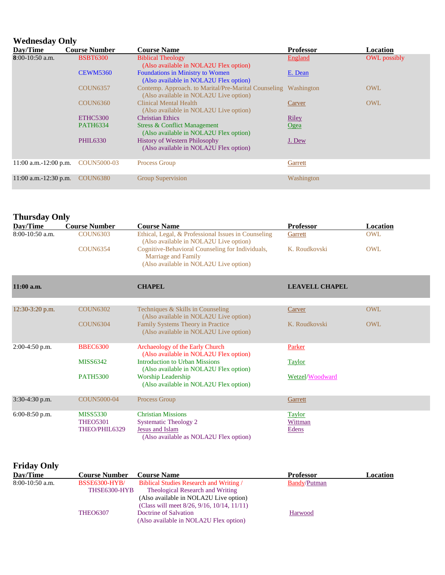#### **Wednesday Only**

| $\cdots$ can come $\cdots$ |                      |                                                                                                |                  |                     |  |
|----------------------------|----------------------|------------------------------------------------------------------------------------------------|------------------|---------------------|--|
| Day/Time                   | <b>Course Number</b> | <b>Course Name</b>                                                                             | <b>Professor</b> | Location            |  |
| $8:00-10:50$ a.m.          | <b>BSBT6300</b>      | <b>Biblical Theology</b><br>(Also available in NOLA2U Flex option)                             | England          | <b>OWL</b> possibly |  |
|                            | <b>CEWM5360</b>      | <b>Foundations in Ministry to Women</b><br>(Also available in NOLA2U Flex option)              | E. Dean          |                     |  |
|                            | <b>COUN6357</b>      | Contemp. Approach. to Marital/Pre-Marital Counseling<br>(Also available in NOLA2U Live option) | Washington       | <b>OWL</b>          |  |
|                            | <b>COUN6360</b>      | <b>Clinical Mental Health</b><br>(Also available in NOLA2U Live option)                        | <b>Carver</b>    | <b>OWL</b>          |  |
|                            | ETHC5300             | <b>Christian Ethics</b>                                                                        | <b>Riley</b>     |                     |  |
|                            | <b>PATH6334</b>      | Stress & Conflict Management<br>(Also available in NOLA2U Flex option)                         | Ogea             |                     |  |
|                            | <b>PHIL6330</b>      | <b>History of Western Philosophy</b><br>(Also available in NOLA2U Flex option)                 | J. Dew           |                     |  |
| $11:00$ a.m. $-12:00$ p.m. | COUN5000-03          | Process Group                                                                                  | Garrett          |                     |  |
| $11:00$ a.m. $-12:30$ p.m. | <b>COUN6380</b>      | <b>Group Supervision</b>                                                                       | Washington       |                     |  |

#### **Thursday Only**

| Day/Time          | <b>Course Number</b> | <b>Course Name</b>                                                                                                | <b>Professor</b> | Location |
|-------------------|----------------------|-------------------------------------------------------------------------------------------------------------------|------------------|----------|
| $8:00-10:50$ a.m. | COUN6303             | Ethical, Legal, & Professional Issues in Counseling<br>(Also available in NOLA2U Live option)                     | Garrett          | OWL      |
|                   | COUN6354             | Cognitive-Behavioral Counseling for Individuals,<br>Marriage and Family<br>(Also available in NOLA2U Live option) | K. Roudkovski    | OWL      |

| $11:00$ a.m.      |                 | <b>CHAPEL</b>                                                                      | <b>LEAVELL CHAPEL</b> |            |
|-------------------|-----------------|------------------------------------------------------------------------------------|-----------------------|------------|
|                   |                 |                                                                                    |                       |            |
| $12:30-3:20$ p.m. | <b>COUN6302</b> | Techniques & Skills in Counseling<br>(Also available in NOLA2U Live option)        | Carver                | <b>OWL</b> |
|                   | <b>COUN6304</b> | <b>Family Systems Theory in Practice</b><br>(Also available in NOLA2U Live option) | K. Roudkovski         | OWL        |
| $2:00-4:50$ p.m.  | <b>BBEC6300</b> | Archaeology of the Early Church<br>(Also available in NOLA2U Flex option)          | Parker                |            |
|                   | <b>MISS6342</b> | <b>Introduction to Urban Missions</b><br>(Also available in NOLA2U Flex option)    | <b>Taylor</b>         |            |
|                   | <b>PATH5300</b> | <b>Worship Leadership</b><br>(Also available in NOLA2U Flex option)                | Wetzel/Woodward       |            |
| $3:30-4:30$ p.m.  | COUN5000-04     | Process Group                                                                      | Garrett               |            |
| $6:00-8:50$ p.m.  | <b>MISS5330</b> | <b>Christian Missions</b>                                                          | <b>Taylor</b>         |            |
|                   | <b>THEO5301</b> | <b>Systematic Theology 2</b>                                                       | Wittman               |            |
|                   | THEO/PHIL6329   | Jesus and Islam<br>(Also available as NOLA2U Flex option)                          | Edens                 |            |

### **Friday Only**

| Day/Time          | <b>Course Number</b> | <b>Course Name</b>                                     | <b>Professor</b>    | Location |
|-------------------|----------------------|--------------------------------------------------------|---------------------|----------|
| $8:00-10:50$ a.m. | <b>BSSE6300-HYB/</b> | Biblical Studies Research and Writing /                | <b>Bandy/Putman</b> |          |
|                   | THSE6300-HYB         | Theological Research and Writing                       |                     |          |
|                   |                      | (Also available in NOLA2U Live option)                 |                     |          |
|                   |                      | (Class will meet $8/26$ , $9/16$ , $10/14$ , $11/11$ ) |                     |          |
|                   | <b>THEO6307</b>      | Doctrine of Salvation                                  | Harwood             |          |
|                   |                      | (Also available in NOLA2U Flex option)                 |                     |          |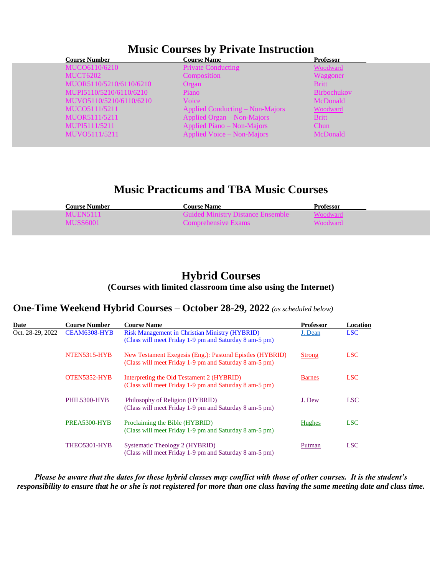| <b>Course Number</b>    |                         | <b>Course Name</b>              | Professor          |
|-------------------------|-------------------------|---------------------------------|--------------------|
| MUCO6110/6210           |                         | <b>Private Conducting</b>       | Woodward           |
| MUCT6202                |                         | Composition                     | Waggoner           |
|                         | MUOR5110/5210/6110/6210 | Organ                           | <b>Britt</b>       |
| MUPI5110/5210/6110/6210 |                         | Piano                           | <b>Birbochukov</b> |
|                         | MUVO5110/5210/6110/6210 | Voice                           | McDonald           |
| MUCO5111/5211           |                         | Applied Conducting – Non-Majors | Woodward           |
| MUOR5111/5211           |                         | Applied Organ – Non-Majors      | <b>Britt</b>       |
| MUPI5111/5211           |                         | Applied Piano – Non-Majors      | Chun               |
| MUVO5111/5211           |                         | Applied Voice – Non-Majors      | McDonald           |
|                         |                         |                                 |                    |

# **Music Practicums and TBA Music Courses**

| <b>Course Number</b> | <b>Course Name</b>                       | Professor |
|----------------------|------------------------------------------|-----------|
| MUEN5111             | <b>Guided Ministry Distance Ensemble</b> | Voodward  |
| <b>MUSS6001</b>      | Comprehensive Exams                      | Voodwar   |

### **Hybrid Courses (Courses with limited classroom time also using the Internet)**

#### **One-Time Weekend Hybrid Courses** *–* **October 28-29, 2022** *(as scheduled below)*

| Date             | <b>Course Number</b> | <b>Course Name</b>                                                                                                  | <b>Professor</b> | Location   |
|------------------|----------------------|---------------------------------------------------------------------------------------------------------------------|------------------|------------|
| Oct. 28-29, 2022 | CEAM6308-HYB         | <b>Risk Management in Christian Ministry (HYBRID)</b><br>(Class will meet Friday 1-9 pm and Saturday 8 am-5 pm)     | J. Dean          | <b>LSC</b> |
|                  | NTEN5315-HYB         | New Testament Exegesis (Eng.): Pastoral Epistles (HYBRID)<br>(Class will meet Friday 1-9 pm and Saturday 8 am-5 pm) | <b>Strong</b>    | <b>LSC</b> |
|                  | OTEN5352-HYB         | Interpreting the Old Testament 2 (HYBRID)<br>(Class will meet Friday 1-9 pm and Saturday 8 am-5 pm)                 | <b>Barnes</b>    | <b>LSC</b> |
|                  | PHIL5300-HYB         | Philosophy of Religion (HYBRID)<br>(Class will meet Friday 1-9 pm and Saturday 8 am-5 pm)                           | J. Dew           | <b>LSC</b> |
|                  | PREA5300-HYB         | Proclaiming the Bible (HYBRID)<br>(Class will meet Friday 1-9 pm and Saturday 8 am-5 pm)                            | Hughes           | <b>LSC</b> |
|                  | THEO5301-HYB         | Systematic Theology 2 (HYBRID)<br>(Class will meet Friday 1-9 pm and Saturday 8 am-5 pm)                            | Putman           | <b>LSC</b> |

*Please be aware that the dates for these hybrid classes may conflict with those of other courses. It is the student's responsibility to ensure that he or she is not registered for more than one class having the same meeting date and class time.*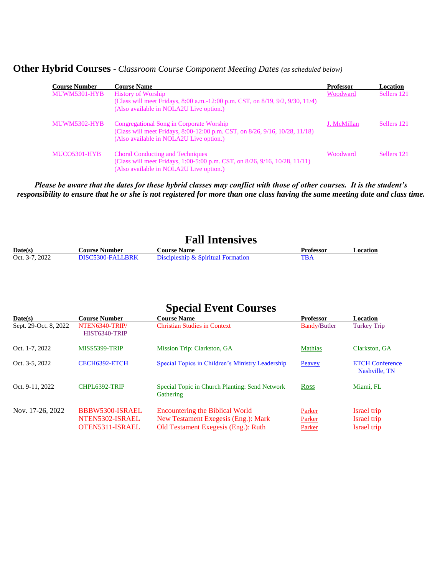**Other Hybrid Courses** *- Classroom Course Component Meeting Dates (as scheduled below)* 

| <b>Course Number</b> | <b>Course Name</b>                                                                                                                                                           | <b>Professor</b> | Location    |
|----------------------|------------------------------------------------------------------------------------------------------------------------------------------------------------------------------|------------------|-------------|
| MUWM5301-HYB         | <b>History of Worship</b><br>(Class will meet Fridays, $8:00$ a.m. $-12:00$ p.m. CST, on $8/19$ , $9/2$ , $9/30$ , $11/4$ )<br>(Also available in NOLA2U Live option.)       | Woodward         | Sellers 121 |
| <b>MUWM5302-HYB</b>  | Congregational Song in Corporate Worship<br>(Class will meet Fridays, 8:00-12:00 p.m. CST, on 8/26, 9/16, 10/28, 11/18)<br>(Also available in NOLA2U Live option.)           | J. McMillan      | Sellers 121 |
| MUCO5301-HYB         | <b>Choral Conducting and Techniques</b><br>(Class will meet Fridays, 1:00-5:00 p.m. CST, on $8/26$ , $9/16$ , $10/28$ , $11/11$ )<br>(Also available in NOLA2U Live option.) | Woodward         | Sellers 121 |

*Please be aware that the dates for these hybrid classes may conflict with those of other courses. It is the student's responsibility to ensure that he or she is not registered for more than one class having the same meeting date and class time.*

## **Fall Intensives**

| Date(s)        | <b>Course Number</b> . | <b>Course Name</b>                 | Professor | Location |
|----------------|------------------------|------------------------------------|-----------|----------|
| Oct. 3-7, 2022 | DISC5300-FALLRRK       | Discipleship & Spiritual Formation |           |          |

# **Special Event Courses**

| Date(s)               | <b>Course Number</b>                                  | <b>Course Name</b>                                                                                                   | <b>Professor</b>           | Location                                  |
|-----------------------|-------------------------------------------------------|----------------------------------------------------------------------------------------------------------------------|----------------------------|-------------------------------------------|
| Sept. 29-Oct. 8, 2022 | NTEN6340-TRIP/<br>HIST6340-TRIP                       | <b>Christian Studies in Context</b>                                                                                  | <b>Bandy/Butler</b>        | <b>Turkey Trip</b>                        |
| Oct. 1-7, 2022        | MISS5399-TRIP                                         | Mission Trip: Clarkston, GA                                                                                          | <b>Mathias</b>             | Clarkston, GA                             |
| Oct. 3-5, 2022        | CECH6392-ETCH                                         | Special Topics in Children's Ministry Leadership                                                                     | Peavey                     | <b>ETCH Conference</b><br>Nashville, TN   |
| Oct. 9-11, 2022       | CHPL6392-TRIP                                         | Special Topic in Church Planting: Send Network<br>Gathering                                                          | Ross                       | Miami, FL                                 |
| Nov. 17-26, 2022      | BBBW5300-ISRAEL<br>NTEN5302-ISRAEL<br>OTEN5311-ISRAEL | <b>Encountering the Biblical World</b><br>New Testament Exegesis (Eng.): Mark<br>Old Testament Exegesis (Eng.): Ruth | Parker<br>Parker<br>Parker | Israel trip<br>Israel trip<br>Israel trip |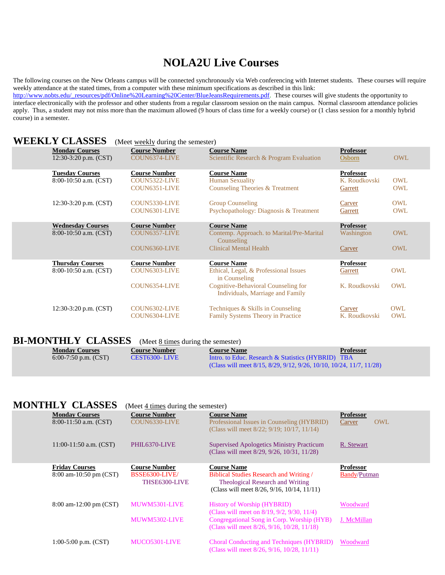# **NOLA2U Live Courses**

The following courses on the New Orleans campus will be connected synchronously via Web conferencing with Internet students. These courses will require weekly attendance at the stated times, from a computer with these minimum specifications as described in this link: http://www.nobts.edu/\_resources/pdf/Online%20Learning%20Center/BlueJeansRequirements.pdf. These courses will give students the opportunity to interface electronically with the professor and other students from a regular classroom session on the main campus. Normal classroom attendance policies apply. Thus, a student may not miss more than the maximum allowed (9 hours of class time for a weekly course) or (1 class session for a monthly hybrid course) in a semester.

#### **WEEKLY CLASSES** (Meet weekly during the semester)

| <b>Monday Courses</b><br>$12:30-3:20$ p.m. $(CST)$   | <b>Course Number</b><br>COUN6374-LIVE                  | <b>Course Name</b><br>Scientific Research & Program Evaluation                                                 | <b>Professor</b><br>Osborn                   | <b>OWL</b>               |
|------------------------------------------------------|--------------------------------------------------------|----------------------------------------------------------------------------------------------------------------|----------------------------------------------|--------------------------|
| <b>Tuesday Courses</b><br>8:00-10:50 a.m. (CST)      | <b>Course Number</b><br>COUN5322-LIVE<br>COUN6351-LIVE | <b>Course Name</b><br><b>Human Sexuality</b><br>Counseling Theories & Treatment                                | <b>Professor</b><br>K. Roudkovski<br>Garrett | <b>OWL</b><br><b>OWL</b> |
| $12:30-3:20$ p.m. $(CST)$                            | COUN5330-LIVE<br>COUN6301-LIVE                         | <b>Group Counseling</b><br>Psychopathology: Diagnosis & Treatment                                              | Carver<br>Garrett                            | OWL<br>OWL               |
| <b>Wednesday Courses</b><br>$8:00-10:50$ a.m. (CST)  | <b>Course Number</b><br>COUN6357-LIVE<br>COUN6360-LIVE | <b>Course Name</b><br>Contemp. Approach. to Marital/Pre-Marital<br>Counseling<br><b>Clinical Mental Health</b> | <b>Professor</b><br>Washington<br>Carver     | <b>OWL</b><br><b>OWL</b> |
| <b>Thursday Courses</b><br>$8:00-10:50$ a.m. $(CST)$ | <b>Course Number</b><br>COUN6303-LIVE                  | <b>Course Name</b><br>Ethical, Legal, & Professional Issues<br>in Counseling                                   | <b>Professor</b><br>Garrett                  | <b>OWL</b>               |
|                                                      | COUN6354-LIVE                                          | Cognitive-Behavioral Counseling for<br>Individuals, Marriage and Family                                        | K. Roudkovski                                | OWL                      |
| 12:30-3:20 p.m. (CST)                                | COUN6302-LIVE<br>COUN6304-LIVE                         | Techniques & Skills in Counseling<br><b>Family Systems Theory in Practice</b>                                  | Carver<br>K. Roudkovski                      | OWL<br><b>OWL</b>        |
|                                                      |                                                        |                                                                                                                |                                              |                          |

### **BI-MONTHLY CLASSES** (Meet <u>8 times</u> during the semester)

| <b>Monday Courses</b>  | <b>Course Number</b> | <b>Course Name</b>                                                                          | <b>Professor</b> |
|------------------------|----------------------|---------------------------------------------------------------------------------------------|------------------|
| 6:00-7:50 p.m. $(CST)$ | CEST6300-LIVE        | Intro. to Educ. Research & Statistics (HYBRID) TBA                                          |                  |
|                        |                      | (Class will meet $8/15$ , $8/29$ , $9/12$ , $9/26$ , $10/10$ , $10/24$ , $11/7$ , $11/28$ ) |                  |

## **MONTHLY CLASSES** (Meet 4 times during the semester)

| <b>Monday Courses</b><br>$8:00-11:50$ a.m. (CST) | <b>Course Number</b><br>COUN6330-LIVE                   | <b>Course Name</b><br>Professional Issues in Counseling (HYBRID)<br>(Class will meet 8/22; 9/19; 10/17, 11/14)                                                     | <b>Professor</b><br><b>OWL</b><br>Carver |
|--------------------------------------------------|---------------------------------------------------------|--------------------------------------------------------------------------------------------------------------------------------------------------------------------|------------------------------------------|
| $11:00-11:50$ a.m. $(CST)$                       | PHIL6370-LIVE                                           | <b>Supervised Apologetics Ministry Practicum</b><br>(Class will meet 8/29, 9/26, 10/31, 11/28)                                                                     | R. Stewart                               |
| <b>Friday Courses</b><br>8:00 am-10:50 pm (CST)  | <b>Course Number</b><br>BSSE6300-LIVE/<br>THSE6300-LIVE | <b>Course Name</b><br><b>Biblical Studies Research and Writing /</b><br>Theological Research and Writing<br>(Class will meet $8/26$ , $9/16$ , $10/14$ , $11/11$ ) | <b>Professor</b><br><b>Bandy/Putman</b>  |
| 8:00 am-12:00 pm (CST)                           | MUWM5301-LIVE<br>MUWM5302-LIVE                          | <b>History of Worship (HYBRID)</b><br>(Class will meet on 8/19, 9/2, 9/30, 11/4)<br>Congregational Song in Corp. Worship (HYB)                                     | Woodward<br>J. McMillan                  |
|                                                  |                                                         | (Class will meet 8/26, 9/16, 10/28, 11/18)                                                                                                                         |                                          |
| 1:00-5:00 p.m. $(CST)$                           | MUCO5301-LIVE                                           | Choral Conducting and Techniques (HYBRID)<br>(Class will meet 8/26, 9/16, 10/28, 11/11)                                                                            | Woodward                                 |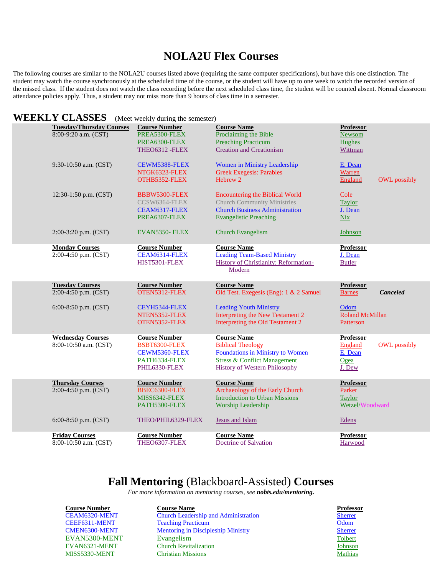## **NOLA2U Flex Courses**

The following courses are similar to the NOLA2U courses listed above (requiring the same computer specifications), but have this one distinction. The student may watch the course synchronously at the scheduled time of the course, or the student will have up to one week to watch the recorded version of the missed class. If the student does not watch the class recording before the next scheduled class time, the student will be counted absent. Normal classroom attendance policies apply. Thus, a student may not miss more than 9 hours of class time in a semester.

#### **WEEKLY CLASSES** (Meet weekly during the semester)

| <b>Tuesday/Thursday Courses</b>                | <b>Course Number</b>                  | <b>Course Name</b>                                     | <b>Professor</b>                      |
|------------------------------------------------|---------------------------------------|--------------------------------------------------------|---------------------------------------|
| 8:00-9:20 a.m. (CST)                           | PREA5300-FLEX                         | Proclaiming the Bible                                  | Newsom                                |
|                                                | PREA6300-FLEX                         | <b>Preaching Practicum</b>                             | <b>Hughes</b>                         |
|                                                | THEO6312 - FLEX                       | <b>Creation and Creationism</b>                        | Wittman                               |
| 9:30-10:50 a.m. (CST)                          | CEWM5388-FLEX                         | Women in Ministry Leadership                           | E. Dean                               |
|                                                | NTGK6323-FLEX                         | <b>Greek Exegesis: Parables</b>                        | Warren                                |
|                                                | OTHB5352-FLEX                         | Hebrew 2                                               | England<br><b>OWL</b> possibly        |
| 12:30-1:50 p.m. (CST)                          | BBBW5300-FLEX                         | <b>Encountering the Biblical World</b>                 | Cole                                  |
|                                                | CCSW6364-FLEX                         | <b>Church Community Ministries</b>                     | <b>Taylor</b>                         |
|                                                | CEAM6317-FLEX                         | <b>Church Business Administration</b>                  | J. Dean                               |
|                                                | PREA6307-FLEX                         | <b>Evangelistic Preaching</b>                          | <b>Nix</b>                            |
| $2:00-3:20$ p.m. $(CST)$                       | EVAN5350- FLEX                        | <b>Church Evangelism</b>                               | Johnson                               |
| <b>Monday Courses</b>                          | <b>Course Number</b>                  | <b>Course Name</b>                                     | <b>Professor</b>                      |
| 2:00-4:50 p.m. (CST)                           | CEAM6314-FLEX                         | <b>Leading Team-Based Ministry</b>                     | J. Dean                               |
|                                                | HIST5301-FLEX                         | <b>History of Christianity: Reformation-</b><br>Modern | <b>Butler</b>                         |
| <b>Tuesday Courses</b>                         | <b>Course Number</b>                  | <b>Course Name</b>                                     | <b>Professor</b>                      |
| 2:00-4:50 p.m. (CST)                           | OTEN5312 FLEX                         | Old Test. Exegesis (Eng): 1 & 2 Samuel                 | <b>Barnes</b><br><b>Canceled</b>      |
| 6:00-8:50 p.m. $(CST)$                         | CEYH5344-FLEX                         | <b>Leading Youth Ministry</b>                          | Odom                                  |
|                                                |                                       |                                                        |                                       |
|                                                | NTEN5352-FLEX                         | Interpreting the New Testament 2                       | <b>Roland McMillan</b>                |
|                                                | OTEN5352-FLEX                         | Interpreting the Old Testament 2                       | Patterson                             |
| <b>Wednesday Courses</b>                       | <b>Course Number</b>                  | <b>Course Name</b>                                     | <b>Professor</b>                      |
| $8:00-10:50$ a.m. (CST)                        | BSBT6300-FLEX                         | <b>Biblical Theology</b>                               | <b>England</b><br><b>OWL</b> possibly |
|                                                | CEWM5360-FLEX                         | Foundations in Ministry to Women                       | E. Dean                               |
|                                                | PATH6334-FLEX                         | <b>Stress &amp; Conflict Management</b>                | Ogea                                  |
|                                                | PHIL6330-FLEX                         | History of Western Philosophy                          | J. Dew                                |
| <b>Thursday Courses</b>                        | <b>Course Number</b>                  | <b>Course Name</b>                                     | <b>Professor</b>                      |
| 2:00-4:50 p.m. (CST)                           | BBEC6300-FLEX                         | Archaeology of the Early Church                        | Parker                                |
|                                                | MISS6342-FLEX                         | <b>Introduction to Urban Missions</b>                  | <b>Taylor</b>                         |
|                                                | PATH5300-FLEX                         | Worship Leadership                                     | Wetzel/Woodward                       |
| 6:00-8:50 p.m. $(CST)$                         | THEO/PHIL6329-FLEX                    | <b>Jesus and Islam</b>                                 | Edens                                 |
| <b>Friday Courses</b><br>8:00-10:50 a.m. (CST) | <b>Course Number</b><br>THEO6307-FLEX | <b>Course Name</b><br>Doctrine of Salvation            | <b>Professor</b>                      |

## **Fall Mentoring** (Blackboard-Assisted) **Courses**

*For more information on mentoring courses, see nobts.edu/mentoring.*

**Course Number Course Name Professor** CEAM6320-MENT Church Leadership and Administration [Sherrer](https://www.nobts.edu/faculty/sherrer-joe.html) CEEF6311-MENT Teaching Practicum and the contract of the Colombia of the Colombia of the Colombia of the Colom CMEN6300-MENT Mentoring in Discipleship Ministry [Sherrer](https://www.nobts.edu/faculty/sherrer-joe.html) EVAN5300-MENT Evangelism [Tolbert](https://www.nobts.edu/faculty/tolbert-mark.html) EVAN6321-MENT Church Revitalization [Johnson](https://www.nobts.edu/faculty/johnson-mark.html) MISS5330-MENT Christian Missions [Mathias](https://www.nobts.edu/faculty/mathias-gregory.html)